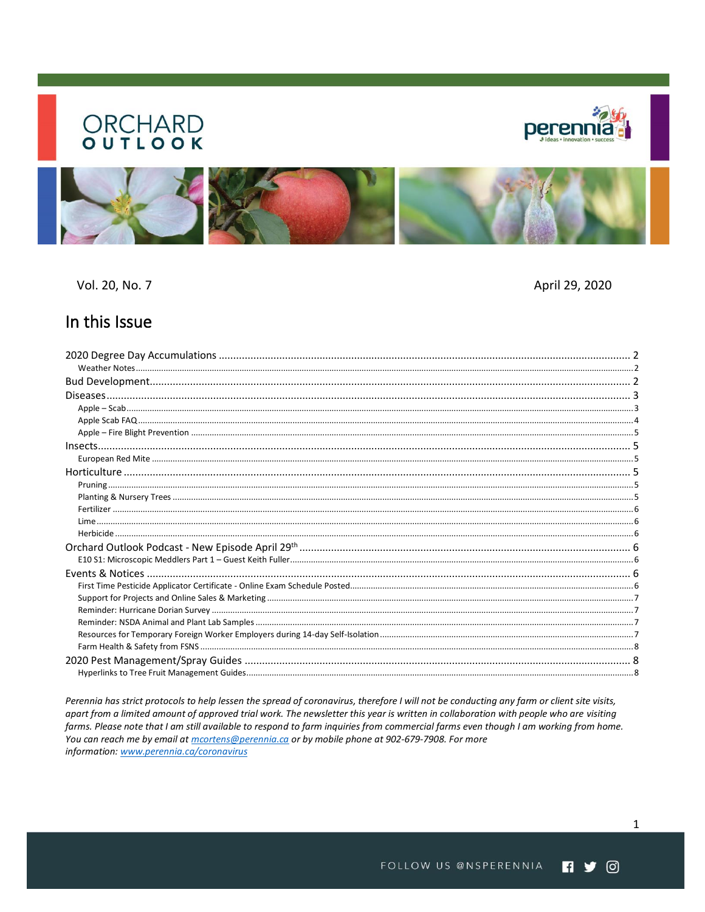# **ORCHARD**





Vol. 20, No. 7

April 29, 2020

# In this Issue

Perennia has strict protocols to help lessen the spread of coronavirus, therefore I will not be conducting any farm or client site visits, apart from a limited amount of approved trial work. The newsletter this year is written in collaboration with people who are visiting farms. Please note that I am still available to respond to farm inquiries from commercial farms even though I am working from home. You can reach me by email at *mcortens@perennia.ca* or by mobile phone at 902-679-7908. For more information: www.perennia.ca/coronavirus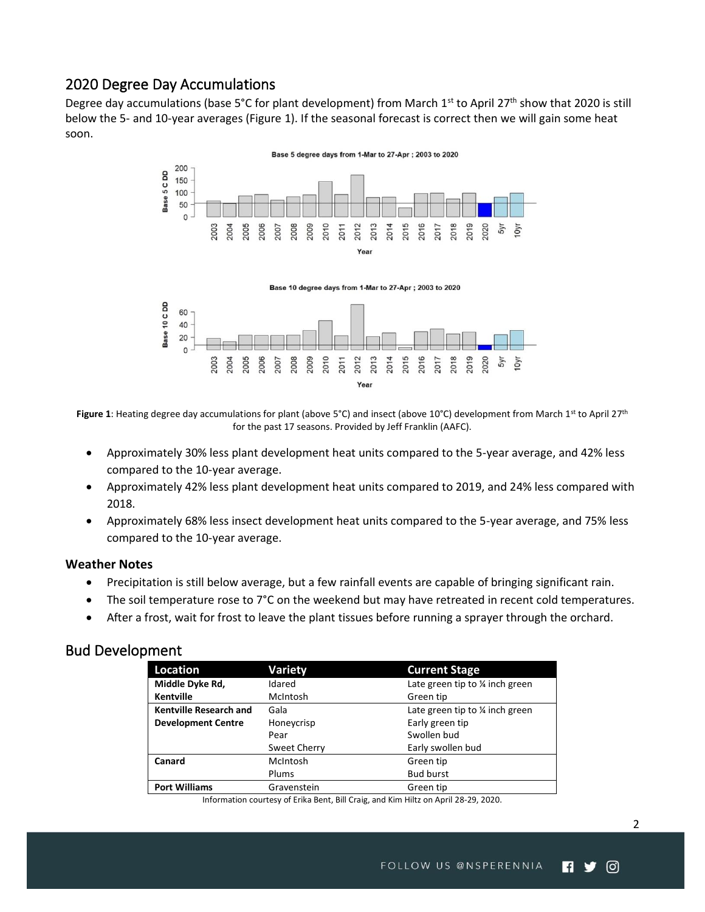# <span id="page-1-0"></span>2020 Degree Day Accumulations

Degree day accumulations (base 5°C for plant development) from March 1<sup>st</sup> to April 27<sup>th</sup> show that 2020 is still below the 5- and 10-year averages (Figure 1). If the seasonal forecast is correct then we will gain some heat soon.



Base 10 degree days from 1-Mar to 27-Apr; 2003 to 2020



Figure 1: Heating degree day accumulations for plant (above 5°C) and insect (above 10°C) development from March 1st to April 27<sup>th</sup> for the past 17 seasons. Provided by Jeff Franklin (AAFC).

- Approximately 30% less plant development heat units compared to the 5-year average, and 42% less compared to the 10-year average.
- Approximately 42% less plant development heat units compared to 2019, and 24% less compared with 2018.
- Approximately 68% less insect development heat units compared to the 5-year average, and 75% less compared to the 10-year average.

#### <span id="page-1-1"></span>**Weather Notes**

- Precipitation is still below average, but a few rainfall events are capable of bringing significant rain.
- The soil temperature rose to 7°C on the weekend but may have retreated in recent cold temperatures.
- After a frost, wait for frost to leave the plant tissues before running a sprayer through the orchard.

# <span id="page-1-2"></span>Bud Development

| Location                      | <b>Variety</b>  | <b>Current Stage</b>                       |  |
|-------------------------------|-----------------|--------------------------------------------|--|
| Middle Dyke Rd,               | Idared          | Late green tip to $\frac{1}{4}$ inch green |  |
| Kentville                     | <b>McIntosh</b> | Green tip                                  |  |
| <b>Kentville Research and</b> | Gala            | Late green tip to $\frac{1}{4}$ inch green |  |
| <b>Development Centre</b>     | Honeycrisp      | Early green tip                            |  |
|                               | Pear            | Swollen bud                                |  |
|                               | Sweet Cherry    | Early swollen bud                          |  |
| Canard                        | McIntosh        | Green tip                                  |  |
|                               | Plums           | <b>Bud burst</b>                           |  |
| <b>Port Williams</b>          | Gravenstein     | Green tip                                  |  |

Information courtesy of Erika Bent, Bill Craig, and Kim Hiltz on April 28-29, 2020.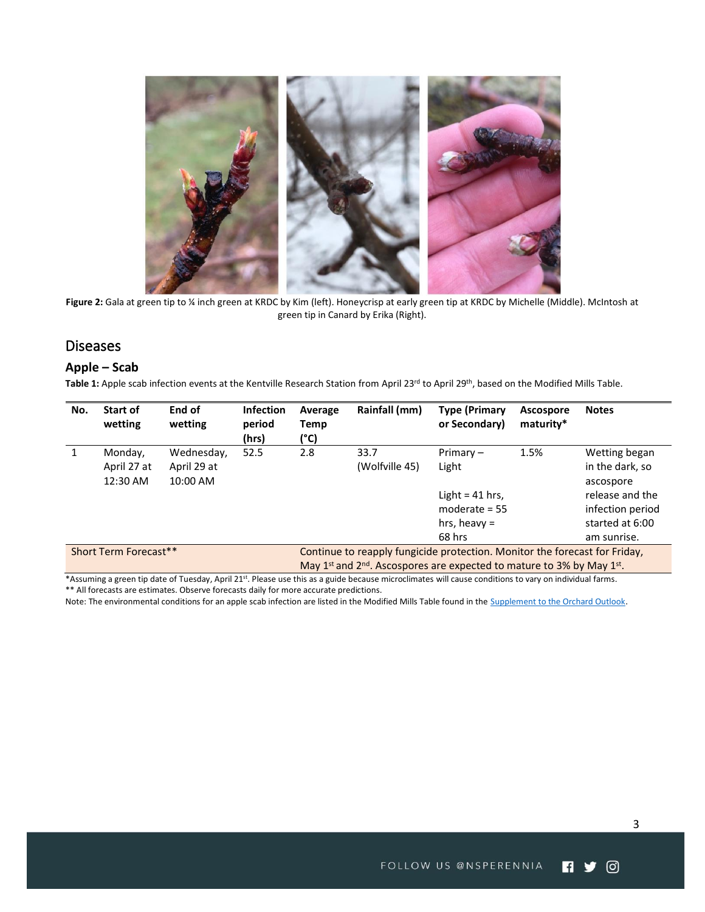

**Figure 2:** Gala at green tip to ¼ inch green at KRDC by Kim (left). Honeycrisp at early green tip at KRDC by Michelle (Middle). McIntosh at green tip in Canard by Erika (Right).

# <span id="page-2-0"></span>**Diseases**

#### <span id="page-2-1"></span>**Apple – Scab**

Table 1: Apple scab infection events at the Kentville Research Station from April 23<sup>rd</sup> to April 29<sup>th</sup>, based on the Modified Mills Table.

| No.                   | Start of<br>wetting | End of<br>wetting | <b>Infection</b><br>period<br>(hrs) | Average<br>Temp<br>(°C)                                                                                    | Rainfall (mm)  | <b>Type (Primary</b><br>or Secondary) | Ascospore<br>maturity* | <b>Notes</b>     |  |
|-----------------------|---------------------|-------------------|-------------------------------------|------------------------------------------------------------------------------------------------------------|----------------|---------------------------------------|------------------------|------------------|--|
|                       | Monday,             | Wednesday,        | 52.5                                | 2.8                                                                                                        | 33.7           | $Primary -$                           | 1.5%                   | Wetting began    |  |
|                       | April 27 at         | April 29 at       |                                     |                                                                                                            | (Wolfville 45) | Light                                 |                        | in the dark, so  |  |
|                       | 12:30 AM            | 10:00 AM          |                                     |                                                                                                            |                |                                       |                        | ascospore        |  |
|                       |                     |                   |                                     |                                                                                                            |                | Light = $41$ hrs,                     |                        | release and the  |  |
|                       |                     |                   |                                     |                                                                                                            |                | moderate $= 55$                       |                        | infection period |  |
|                       |                     |                   |                                     |                                                                                                            |                | hrs, heavy $=$                        |                        | started at 6:00  |  |
|                       |                     |                   |                                     |                                                                                                            |                | 68 hrs                                |                        | am sunrise.      |  |
| Short Term Forecast** |                     |                   |                                     | Continue to reapply fungicide protection. Monitor the forecast for Friday,                                 |                |                                       |                        |                  |  |
|                       |                     |                   |                                     | May 1 <sup>st</sup> and 2 <sup>nd</sup> . Ascospores are expected to mature to 3% by May 1 <sup>st</sup> . |                |                                       |                        |                  |  |

\*Assuming a green tip date of Tuesday, April 21<sup>st</sup>. Please use this as a guide because microclimates will cause conditions to vary on individual farms. \*\* All forecasts are estimates. Observe forecasts daily for more accurate predictions.

Note: The environmental conditions for an apple scab infection are listed in the Modified Mills Table found in the **Supplement to the Orchard Outlook**.

ම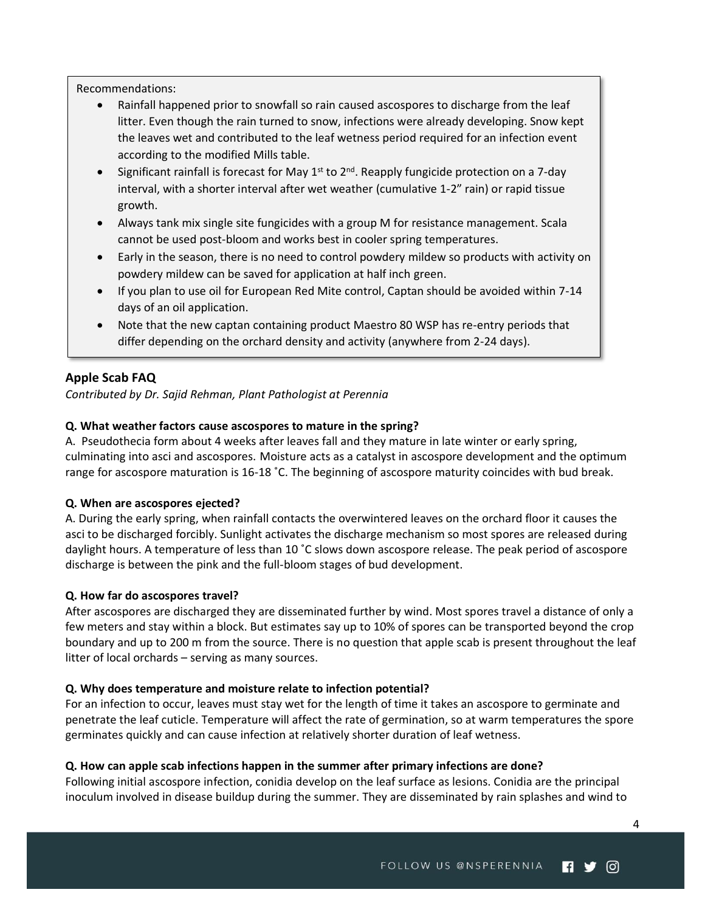Recommendations:

- Rainfall happened prior to snowfall so rain caused ascospores to discharge from the leaf litter. Even though the rain turned to snow, infections were already developing. Snow kept the leaves wet and contributed to the leaf wetness period required for an infection event according to the modified Mills table.
- Significant rainfall is forecast for May 1<sup>st</sup> to 2<sup>nd</sup>. Reapply fungicide protection on a 7-day interval, with a shorter interval after wet weather (cumulative 1-2" rain) or rapid tissue growth.
- Always tank mix single site fungicides with a group M for resistance management. Scala cannot be used post-bloom and works best in cooler spring temperatures.
- Early in the season, there is no need to control powdery mildew so products with activity on powdery mildew can be saved for application at half inch green.
- If you plan to use oil for European Red Mite control, Captan should be avoided within 7-14 days of an oil application.
- Note that the new captan containing product Maestro 80 WSP has re-entry periods that differ depending on the orchard density and activity (anywhere from 2-24 days).

# <span id="page-3-0"></span>**Apple Scab FAQ**

*Contributed by Dr. Sajid Rehman, Plant Pathologist at Perennia*

#### **Q. What weather factors cause ascospores to mature in the spring?**

A. Pseudothecia form about 4 weeks after leaves fall and they mature in late winter or early spring, culminating into asci and ascospores. Moisture acts as a catalyst in ascospore development and the optimum range for ascospore maturation is 16-18 ˚C. The beginning of ascospore maturity coincides with bud break.

#### **Q. When are ascospores ejected?**

A. During the early spring, when rainfall contacts the overwintered leaves on the orchard floor it causes the asci to be discharged forcibly. Sunlight activates the discharge mechanism so most spores are released during daylight hours. A temperature of less than 10 ˚C slows down ascospore release. The peak period of ascospore discharge is between the pink and the full-bloom stages of bud development.

#### **Q. How far do ascospores travel?**

After ascospores are discharged they are disseminated further by wind. Most spores travel a distance of only a few meters and stay within a block. But estimates say up to 10% of spores can be transported beyond the crop boundary and up to 200 m from the source. There is no question that apple scab is present throughout the leaf litter of local orchards – serving as many sources.

#### **Q. Why does temperature and moisture relate to infection potential?**

For an infection to occur, leaves must stay wet for the length of time it takes an ascospore to germinate and penetrate the leaf cuticle. Temperature will affect the rate of germination, so at warm temperatures the spore germinates quickly and can cause infection at relatively shorter duration of leaf wetness.

#### **Q. How can apple scab infections happen in the summer after primary infections are done?**

Following initial ascospore infection, conidia develop on the leaf surface as lesions. Conidia are the principal inoculum involved in disease buildup during the summer. They are disseminated by rain splashes and wind to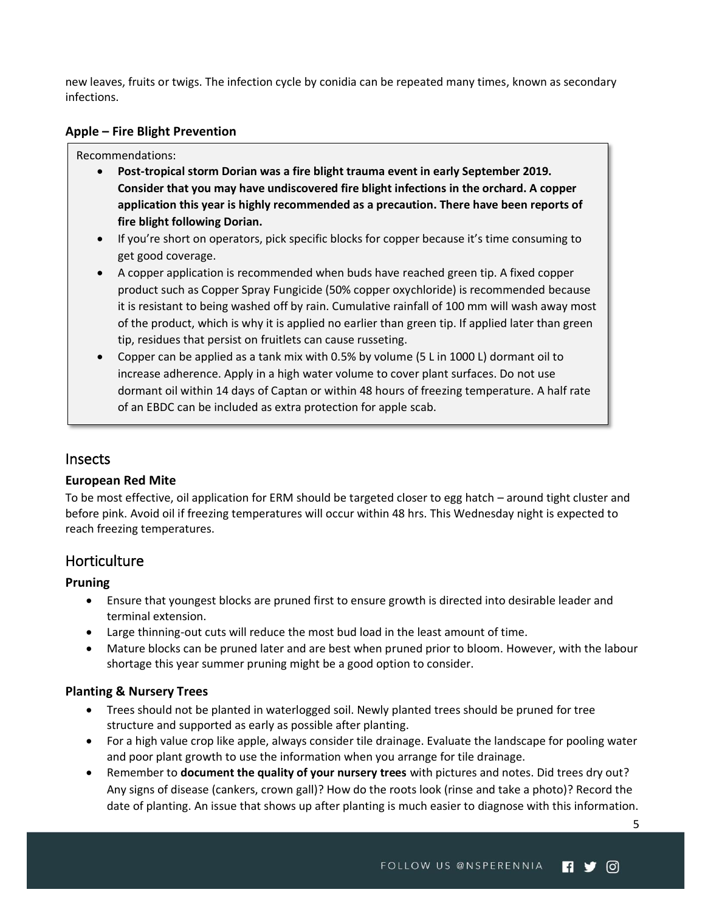new leaves, fruits or twigs. The infection cycle by conidia can be repeated many times, known as secondary infections.

#### <span id="page-4-0"></span>**Apple – Fire Blight Prevention**

#### Recommendations:

- **Post-tropical storm Dorian was a fire blight trauma event in early September 2019. Consider that you may have undiscovered fire blight infections in the orchard. A copper application this year is highly recommended as a precaution. There have been reports of fire blight following Dorian.**
- If you're short on operators, pick specific blocks for copper because it's time consuming to get good coverage.
- A copper application is recommended when buds have reached green tip. A fixed copper product such as Copper Spray Fungicide (50% copper oxychloride) is recommended because it is resistant to being washed off by rain. Cumulative rainfall of 100 mm will wash away most of the product, which is why it is applied no earlier than green tip. If applied later than green tip, residues that persist on fruitlets can cause russeting.
- Copper can be applied as a tank mix with 0.5% by volume (5 L in 1000 L) dormant oil to increase adherence. Apply in a high water volume to cover plant surfaces. Do not use dormant oil within 14 days of Captan or within 48 hours of freezing temperature. A half rate of an EBDC can be included as extra protection for apple scab.

# <span id="page-4-1"></span>Insects

# <span id="page-4-2"></span>**European Red Mite**

To be most effective, oil application for ERM should be targeted closer to egg hatch – around tight cluster and before pink. Avoid oil if freezing temperatures will occur within 48 hrs. This Wednesday night is expected to reach freezing temperatures.

# <span id="page-4-3"></span>**Horticulture**

# <span id="page-4-4"></span>**Pruning**

- Ensure that youngest blocks are pruned first to ensure growth is directed into desirable leader and terminal extension.
- Large thinning-out cuts will reduce the most bud load in the least amount of time.
- Mature blocks can be pruned later and are best when pruned prior to bloom. However, with the labour shortage this year summer pruning might be a good option to consider.

# <span id="page-4-5"></span>**Planting & Nursery Trees**

- Trees should not be planted in waterlogged soil. Newly planted trees should be pruned for tree structure and supported as early as possible after planting.
- For a high value crop like apple, always consider tile drainage. Evaluate the landscape for pooling water and poor plant growth to use the information when you arrange for tile drainage.
- Remember to **document the quality of your nursery trees** with pictures and notes. Did trees dry out? Any signs of disease (cankers, crown gall)? How do the roots look (rinse and take a photo)? Record the date of planting. An issue that shows up after planting is much easier to diagnose with this information.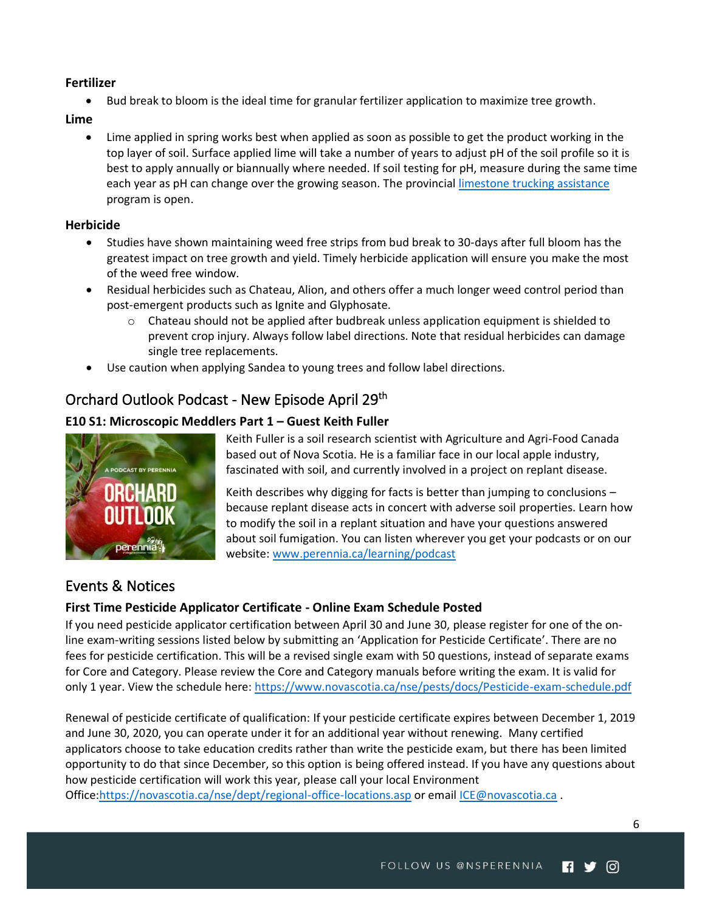# <span id="page-5-0"></span>**Fertilizer**

• Bud break to bloom is the ideal time for granular fertilizer application to maximize tree growth.

#### <span id="page-5-1"></span>**Lime**

• Lime applied in spring works best when applied as soon as possible to get the product working in the top layer of soil. Surface applied lime will take a number of years to adjust pH of the soil profile so it is best to apply annually or biannually where needed. If soil testing for pH, measure during the same time each year as pH can change over the growing season. The provincial [limestone trucking assistance](https://novascotia.ca/programs/limestone-trucking-assistance/) program is open.

## <span id="page-5-2"></span>**Herbicide**

- Studies have shown maintaining weed free strips from bud break to 30-days after full bloom has the greatest impact on tree growth and yield. Timely herbicide application will ensure you make the most of the weed free window.
- Residual herbicides such as Chateau, Alion, and others offer a much longer weed control period than post-emergent products such as Ignite and Glyphosate.
	- $\circ$  Chateau should not be applied after budbreak unless application equipment is shielded to prevent crop injury. Always follow label directions. Note that residual herbicides can damage single tree replacements.
- Use caution when applying Sandea to young trees and follow label directions.

# <span id="page-5-3"></span>Orchard Outlook Podcast - New Episode April 29<sup>th</sup>

# <span id="page-5-4"></span>**E10 S1: Microscopic Meddlers Part 1 – Guest Keith Fuller**



Keith Fuller is a soil research scientist with Agriculture and Agri-Food Canada based out of Nova Scotia. He is a familiar face in our local apple industry, fascinated with soil, and currently involved in a project on replant disease.

Keith describes why digging for facts is better than jumping to conclusions – because replant disease acts in concert with adverse soil properties. Learn how to modify the soil in a replant situation and have your questions answered about soil fumigation. You can listen wherever you get your podcasts or on our website: [www.perennia.ca/learning/podcast](http://www.perennia.ca/learning/podcast)

# <span id="page-5-5"></span>Events & Notices

# <span id="page-5-6"></span>**First Time Pesticide Applicator Certificate - Online Exam Schedule Posted**

If you need pesticide applicator certification between April 30 and June 30, please register for one of the online exam-writing sessions listed below by submitting an 'Application for Pesticide Certificate'. There are no fees for pesticide certification. This will be a revised single exam with 50 questions, instead of separate exams for Core and Category. Please review the Core and Category manuals before writing the exam. It is valid for only 1 year. View the schedule here:<https://www.novascotia.ca/nse/pests/docs/Pesticide-exam-schedule.pdf>

Renewal of pesticide certificate of qualification: If your pesticide certificate expires between December 1, 2019 and June 30, 2020, you can operate under it for an additional year without renewing. Many certified applicators choose to take education credits rather than write the pesticide exam, but there has been limited opportunity to do that since December, so this option is being offered instead. If you have any questions about how pesticide certification will work this year, please call your local Environment

Office[:https://novascotia.ca/nse/dept/regional-office-locations.asp](https://novascotia.ca/nse/dept/regional-office-locations.asp) or email [ICE@novascotia.ca](mailto:ICE@novascotia.ca) .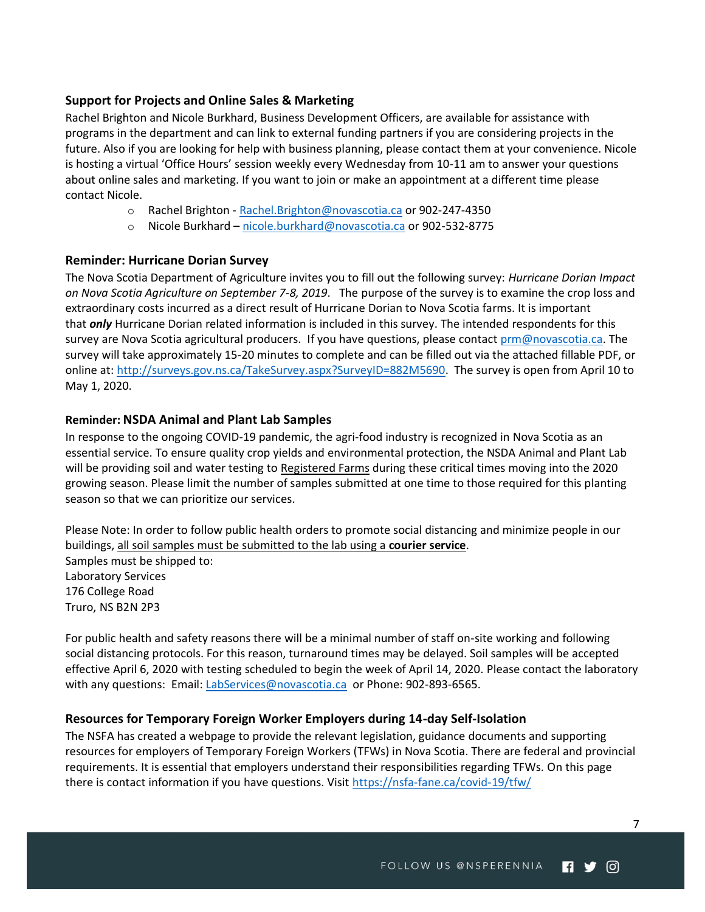## <span id="page-6-0"></span>**Support for Projects and Online Sales & Marketing**

Rachel Brighton and Nicole Burkhard, Business Development Officers, are available for assistance with programs in the department and can link to external funding partners if you are considering projects in the future. Also if you are looking for help with business planning, please contact them at your convenience. Nicole is hosting a virtual 'Office Hours' session weekly every Wednesday from 10-11 am to answer your questions about online sales and marketing. If you want to join or make an appointment at a different time please contact Nicole.

- o Rachel Brighton [Rachel.Brighton@novascotia.ca](mailto:Rachel.Brighton@novascotia.ca) or 902-247-4350
- o Nicole Burkhard [nicole.burkhard@novascotia.ca](mailto:nicole.burkhard@novascotia.ca) or 902-532-8775

#### <span id="page-6-1"></span>**Reminder: Hurricane Dorian Survey**

The Nova Scotia Department of Agriculture invites you to fill out the following survey: *Hurricane Dorian Impact on Nova Scotia Agriculture on September 7-8, 2019*. The purpose of the survey is to examine the crop loss and extraordinary costs incurred as a direct result of Hurricane Dorian to Nova Scotia farms. It is important that *only* Hurricane Dorian related information is included in this survey. The intended respondents for this survey are Nova Scotia agricultural producers. If you have questions, please contact [prm@novascotia.ca.](mailto:prm@novascotia.ca) The survey will take approximately 15-20 minutes to complete and can be filled out via the attached fillable PDF, or online at: [http://surveys.gov.ns.ca/TakeSurvey.aspx?SurveyID=882M5690.](http://surveys.gov.ns.ca/TakeSurvey.aspx?SurveyID=882M5690) The survey is open from April 10 to May 1, 2020.

#### <span id="page-6-2"></span>**Reminder: NSDA Animal and Plant Lab Samples**

In response to the ongoing COVID-19 pandemic, the agri-food industry is recognized in Nova Scotia as an essential service. To ensure quality crop yields and environmental protection, the NSDA Animal and Plant Lab will be providing soil and water testing to Registered Farms during these critical times moving into the 2020 growing season. Please limit the number of samples submitted at one time to those required for this planting season so that we can prioritize our services.

Please Note: In order to follow public health orders to promote social distancing and minimize people in our buildings, all soil samples must be submitted to the lab using a **courier service**. Samples must be shipped to: Laboratory Services 176 College Road Truro, NS B2N 2P3

For public health and safety reasons there will be a minimal number of staff on-site working and following social distancing protocols. For this reason, turnaround times may be delayed. Soil samples will be accepted effective April 6, 2020 with testing scheduled to begin the week of April 14, 2020. Please contact the laboratory with any questions: Email: [LabServices@novascotia.ca](mailto:LabServices@novascotia.ca) or Phone: 902-893-6565.

#### <span id="page-6-3"></span>**Resources for Temporary Foreign Worker Employers during 14-day Self-Isolation**

The NSFA has created a webpage to provide the relevant legislation, guidance documents and supporting resources for employers of Temporary Foreign Workers (TFWs) in Nova Scotia. There are federal and provincial requirements. It is essential that employers understand their responsibilities regarding TFWs. On this page there is contact information if you have questions. Visit<https://nsfa-fane.ca/covid-19/tfw/>